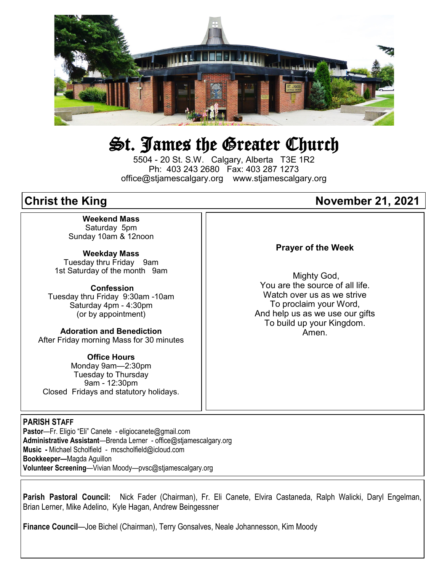

# St. James the Greater Church

5504 - 20 St. S.W. Calgary, Alberta T3E 1R2 Ph: 403 243 2680 Fax: 403 287 1273 office@stjamescalgary.org www.stjamescalgary.org

**Weekend Mass** Saturday 5pm Sunday 10am & 12noon

**Weekday Mass** Tuesday thru Friday 9am 1st Saturday of the month 9am

**Confession** Tuesday thru Friday 9:30am -10am Saturday 4pm - 4:30pm (or by appointment)

**Adoration and Benediction**  After Friday morning Mass for 30 minutes

**Office Hours**  Monday 9am—2:30pm Tuesday to Thursday 9am - 12:30pm Closed Fridays and statutory holidays.

#### **PARISH STAFF**

**Pastor**—Fr. Eligio "Eli" Canete - eligiocanete@gmail.com **Administrative Assistant**—Brenda Lerner - office@stjamescalgary.org **Music -** Michael Scholfield - mcscholfield@icloud.com **Bookkeeper—**Magda Aguillon **Volunteer Screening**—Vivian Moody—pvsc@stjamescalgary.org

#### **Parish Pastoral Council:** Nick Fader (Chairman), Fr. Eli Canete, Elvira Castaneda, Ralph Walicki, Daryl Engelman, Brian Lerner, Mike Adelino, Kyle Hagan, Andrew Beingessner

**Finance Council**—Joe Bichel (Chairman), Terry Gonsalves, Neale Johannesson, Kim Moody

## **Christ the King Christ the King Christ Christ Christ Christ Christ Christ Christ Christ Christ Christ Christ Christ Christ Christ Christ Christ Christ Christ Christ Christ Christ Christ Christ Christ Christ Christ Christ**

#### **Prayer of the Week**

Mighty God, You are the source of all life. Watch over us as we strive To proclaim your Word, And help us as we use our gifts To build up your Kingdom. Amen.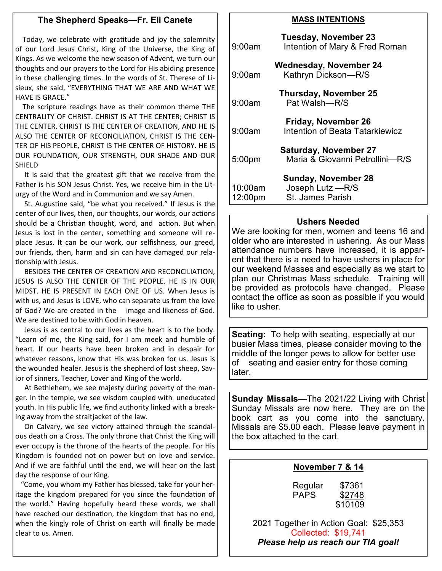#### **The Shepherd Speaks—Fr. Eli Canete**

Today, we celebrate with gratitude and joy the solemnity of our Lord Jesus Christ, King of the Universe, the King of Kings. As we welcome the new season of Advent, we turn our thoughts and our prayers to the Lord for His abiding presence in these challenging times. In the words of St. Therese of Lisieux, she said, "EVERYTHING THAT WE ARE AND WHAT WE HAVE IS GRACE."

 The scripture readings have as their common theme THE CENTRALITY OF CHRIST. CHRIST IS AT THE CENTER; CHRIST IS THE CENTER. CHRIST IS THE CENTER OF CREATION, AND HE IS ALSO THE CENTER OF RECONCILIATION, CHRIST IS THE CEN-TER OF HIS PEOPLE, CHRIST IS THE CENTER OF HISTORY. HE IS OUR FOUNDATION, OUR STRENGTH, OUR SHADE AND OUR SHIELD

 It is said that the greatest gift that we receive from the Father is his SON Jesus Christ. Yes, we receive him in the Liturgy of the Word and in Communion and we say Amen.

 St. Augustine said, "be what you received." If Jesus is the center of our lives, then, our thoughts, our words, our actions should be a Christian thought, word, and action. But when Jesus is lost in the center, something and someone will replace Jesus. It can be our work, our selfishness, our greed, our friends, then, harm and sin can have damaged our relationship with Jesus.

 BESIDES THE CENTER OF CREATION AND RECONCILIATION, JESUS IS ALSO THE CENTER OF THE PEOPLE. HE IS IN OUR MIDST. HE IS PRESENT IN EACH ONE OF US. When Jesus is with us, and Jesus is LOVE, who can separate us from the love of God? We are created in the image and likeness of God. We are destined to be with God in heaven.

 Jesus is as central to our lives as the heart is to the body. "Learn of me, the King said, for I am meek and humble of heart. If our hearts have been broken and in despair for whatever reasons, know that His was broken for us. Jesus is the wounded healer. Jesus is the shepherd of lost sheep, Savior of sinners, Teacher, Lover and King of the world.

 At Bethlehem, we see majesty during poverty of the manger. In the temple, we see wisdom coupled with uneducated youth. In His public life, we find authority linked with a breaking away from the straitjacket of the law.

 On Calvary, we see victory attained through the scandalous death on a Cross. The only throne that Christ the King will ever occupy is the throne of the hearts of the people. For His Kingdom is founded not on power but on love and service. And if we are faithful until the end, we will hear on the last day the response of our King.

 "Come, you whom my Father has blessed, take for your heritage the kingdom prepared for you since the foundation of the world." Having hopefully heard these words, we shall have reached our destination, the kingdom that has no end, when the kingly role of Christ on earth will finally be made clear to us. Amen.

#### **MASS INTENTIONS**

| 9:00am             | Tuesday, November 23<br>Intention of Mary & Fred Roman       |
|--------------------|--------------------------------------------------------------|
| 9:00am             | Wednesday, November 24<br>Kathryn Dickson-R/S                |
| 9:00am             | <b>Thursday, November 25</b><br>Pat Walsh-R/S                |
| 9:00am             | Friday, November 26<br>Intention of Beata Tatarkiewicz       |
| 5:00pm             | Saturday, November 27<br>Maria & Giovanni Petrollini-R/S     |
| 10:00am<br>12:00pm | Sunday, November 28<br>Joseph Lutz - R/S<br>St. James Parish |

#### **Ushers Needed**

We are looking for men, women and teens 16 and older who are interested in ushering. As our Mass attendance numbers have increased, it is apparent that there is a need to have ushers in place for our weekend Masses and especially as we start to plan our Christmas Mass schedule. Training will be provided as protocols have changed. Please contact the office as soon as possible if you would like to usher.

**Seating:** To help with seating, especially at our busier Mass times, please consider moving to the middle of the longer pews to allow for better use of seating and easier entry for those coming later.

**Sunday Missals**—The 2021/22 Living with Christ Sunday Missals are now here. They are on the book cart as you come into the sanctuary. Missals are \$5.00 each. Please leave payment in the box attached to the cart.

#### **November 7 & 14**

| Regular     | \$7361  |
|-------------|---------|
| <b>PAPS</b> | \$2748  |
|             | \$10109 |

2021 Together in Action Goal: \$25,353 Collected: \$19,741 *Please help us reach our TIA goal!*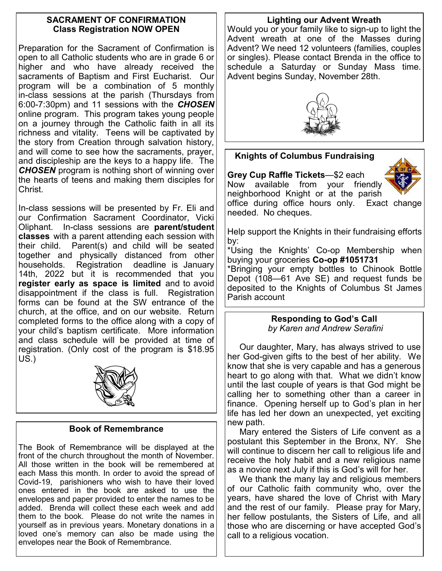#### **SACRAMENT OF CONFIRMATION Class Registration NOW OPEN**

Preparation for the Sacrament of Confirmation is open to all Catholic students who are in grade 6 or higher and who have already received the sacraments of Baptism and First Eucharist. Our program will be a combination of 5 monthly in-class sessions at the parish (Thursdays from 6:00-7:30pm) and 11 sessions with the *CHOSEN*  online program. This program takes young people on a journey through the Catholic faith in all its richness and vitality. Teens will be captivated by the story from Creation through salvation history, and will come to see how the sacraments, prayer, and discipleship are the keys to a happy life. The *CHOSEN* program is nothing short of winning over the hearts of teens and making them disciples for Christ.

In-class sessions will be presented by Fr. Eli and our Confirmation Sacrament Coordinator, Vicki Oliphant. In-class sessions are **parent/student classes** with a parent attending each session with their child. Parent(s) and child will be seated together and physically distanced from other households. Registration deadline is January 14th, 2022 but it is recommended that you **register early as space is limited** and to avoid disappointment if the class is full. Registration forms can be found at the SW entrance of the church, at the office, and on our website. Return completed forms to the office along with a copy of your child's baptism certificate. More information and class schedule will be provided at time of registration. (Only cost of the program is \$18.95 US.)



#### **Book of Remembrance**

The Book of Remembrance will be displayed at the front of the church throughout the month of November. All those written in the book will be remembered at each Mass this month. In order to avoid the spread of Covid-19, parishioners who wish to have their loved ones entered in the book are asked to use the envelopes and paper provided to enter the names to be added. Brenda will collect these each week and add them to the book. Please do not write the names in yourself as in previous years. Monetary donations in a loved one's memory can also be made using the envelopes near the Book of Remembrance.

#### **Lighting our Advent Wreath**

Would you or your family like to sign-up to light the Advent wreath at one of the Masses during Advent? We need 12 volunteers (families, couples or singles). Please contact Brenda in the office to schedule a Saturday or Sunday Mass time. Advent begins Sunday, November 28th.



### **Knights of Columbus Fundraising**

**Grey Cup Raffle Tickets**—\$2 each Now available from your friendly

neighborhood Knight or at the parish office during office hours only. Exact change needed. No cheques.

Help support the Knights in their fundraising efforts by:

\*Using the Knights' Co-op Membership when buying your groceries **Co-op #1051731**

\*Bringing your empty bottles to Chinook Bottle Depot (108—61 Ave SE) and request funds be deposited to the Knights of Columbus St James Parish account

#### **Responding to God's Call** *by Karen and Andrew Serafini*

 Our daughter, Mary, has always strived to use her God-given gifts to the best of her ability. We know that she is very capable and has a generous heart to go along with that. What we didn't know until the last couple of years is that God might be calling her to something other than a career in finance. Opening herself up to God's plan in her life has led her down an unexpected, yet exciting new path.

 Mary entered the Sisters of Life convent as a postulant this September in the Bronx, NY. She will continue to discern her call to religious life and receive the holy habit and a new religious name as a novice next July if this is God's will for her.

We thank the many lay and religious members of our Catholic faith community who, over the years, have shared the love of Christ with Mary and the rest of our family. Please pray for Mary, her fellow postulants, the Sisters of Life, and all those who are discerning or have accepted God's call to a religious vocation.